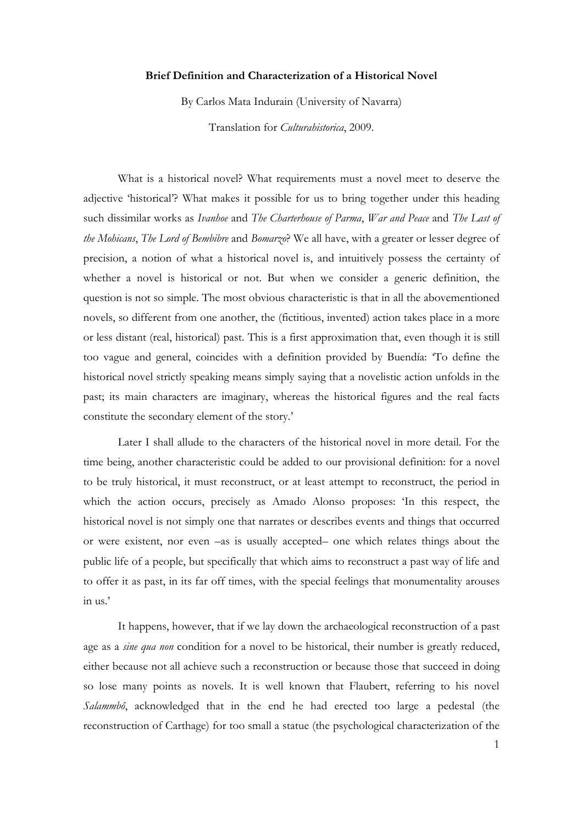## **Brief Definition and Characterization of a Historical Novel**

By Carlos Mata Indurain (University of Navarra)

Translation for *Culturahistorica*, 2009.

What is a historical novel? What requirements must a novel meet to deserve the adjective 'historical'? What makes it possible for us to bring together under this heading such dissimilar works as *Ivanhoe* and *The Charterhouse of Parma*, *War and Peace* and *The Last of the Mohicans*, *The Lord of Bembibre* and *Bomarzo*? We all have, with a greater or lesser degree of precision, a notion of what a historical novel is, and intuitively possess the certainty of whether a novel is historical or not. But when we consider a generic definition, the question is not so simple. The most obvious characteristic is that in all the abovementioned novels, so different from one another, the (fictitious, invented) action takes place in a more or less distant (real, historical) past. This is a first approximation that, even though it is still too vague and general, coincides with a definition provided by Buendía: 'To define the historical novel strictly speaking means simply saying that a novelistic action unfolds in the past; its main characters are imaginary, whereas the historical figures and the real facts constitute the secondary element of the story.'

Later I shall allude to the characters of the historical novel in more detail. For the time being, another characteristic could be added to our provisional definition: for a novel to be truly historical, it must reconstruct, or at least attempt to reconstruct, the period in which the action occurs, precisely as Amado Alonso proposes: 'In this respect, the historical novel is not simply one that narrates or describes events and things that occurred or were existent, nor even –as is usually accepted– one which relates things about the public life of a people, but specifically that which aims to reconstruct a past way of life and to offer it as past, in its far off times, with the special feelings that monumentality arouses in us.'

It happens, however, that if we lay down the archaeological reconstruction of a past age as a *sine qua non* condition for a novel to be historical, their number is greatly reduced, either because not all achieve such a reconstruction or because those that succeed in doing so lose many points as novels. It is well known that Flaubert, referring to his novel *Salammbô*, acknowledged that in the end he had erected too large a pedestal (the reconstruction of Carthage) for too small a statue (the psychological characterization of the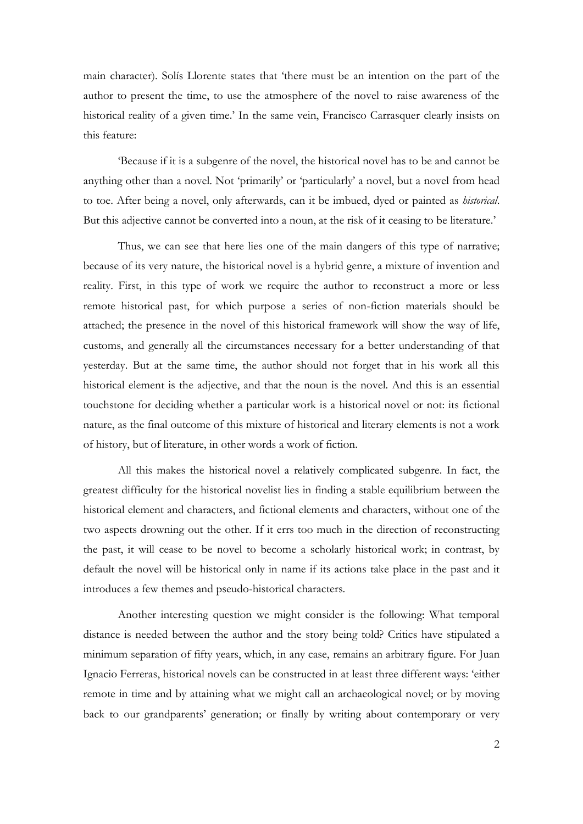main character). Solís Llorente states that 'there must be an intention on the part of the author to present the time, to use the atmosphere of the novel to raise awareness of the historical reality of a given time.' In the same vein, Francisco Carrasquer clearly insists on this feature:

'Because if it is a subgenre of the novel, the historical novel has to be and cannot be anything other than a novel. Not 'primarily' or 'particularly' a novel, but a novel from head to toe. After being a novel, only afterwards, can it be imbued, dyed or painted as *historical*. But this adjective cannot be converted into a noun, at the risk of it ceasing to be literature.'

Thus, we can see that here lies one of the main dangers of this type of narrative; because of its very nature, the historical novel is a hybrid genre, a mixture of invention and reality. First, in this type of work we require the author to reconstruct a more or less remote historical past, for which purpose a series of non-fiction materials should be attached; the presence in the novel of this historical framework will show the way of life, customs, and generally all the circumstances necessary for a better understanding of that yesterday. But at the same time, the author should not forget that in his work all this historical element is the adjective, and that the noun is the novel. And this is an essential touchstone for deciding whether a particular work is a historical novel or not: its fictional nature, as the final outcome of this mixture of historical and literary elements is not a work of history, but of literature, in other words a work of fiction.

All this makes the historical novel a relatively complicated subgenre. In fact, the greatest difficulty for the historical novelist lies in finding a stable equilibrium between the historical element and characters, and fictional elements and characters, without one of the two aspects drowning out the other. If it errs too much in the direction of reconstructing the past, it will cease to be novel to become a scholarly historical work; in contrast, by default the novel will be historical only in name if its actions take place in the past and it introduces a few themes and pseudo-historical characters.

Another interesting question we might consider is the following: What temporal distance is needed between the author and the story being told? Critics have stipulated a minimum separation of fifty years, which, in any case, remains an arbitrary figure. For Juan Ignacio Ferreras, historical novels can be constructed in at least three different ways: 'either remote in time and by attaining what we might call an archaeological novel; or by moving back to our grandparents' generation; or finally by writing about contemporary or very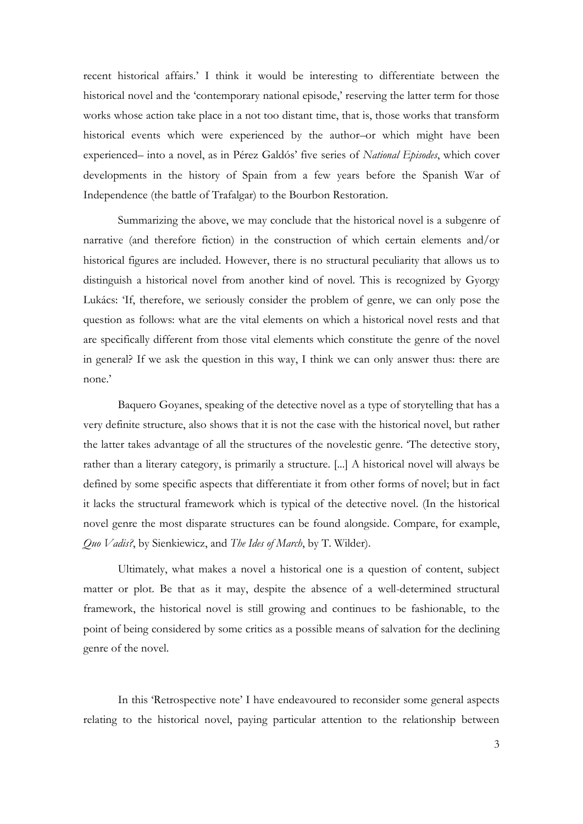recent historical affairs.' I think it would be interesting to differentiate between the historical novel and the 'contemporary national episode,' reserving the latter term for those works whose action take place in a not too distant time, that is, those works that transform historical events which were experienced by the author–or which might have been experienced– into a novel, as in Pérez Galdós' five series of *National Episodes*, which cover developments in the history of Spain from a few years before the Spanish War of Independence (the battle of Trafalgar) to the Bourbon Restoration.

Summarizing the above, we may conclude that the historical novel is a subgenre of narrative (and therefore fiction) in the construction of which certain elements and/or historical figures are included. However, there is no structural peculiarity that allows us to distinguish a historical novel from another kind of novel. This is recognized by Gyorgy Lukács: 'If, therefore, we seriously consider the problem of genre, we can only pose the question as follows: what are the vital elements on which a historical novel rests and that are specifically different from those vital elements which constitute the genre of the novel in general? If we ask the question in this way, I think we can only answer thus: there are none.'

Baquero Goyanes, speaking of the detective novel as a type of storytelling that has a very definite structure, also shows that it is not the case with the historical novel, but rather the latter takes advantage of all the structures of the novelestic genre. 'The detective story, rather than a literary category, is primarily a structure. [...] A historical novel will always be defined by some specific aspects that differentiate it from other forms of novel; but in fact it lacks the structural framework which is typical of the detective novel. (In the historical novel genre the most disparate structures can be found alongside. Compare, for example, *Quo Vadis?*, by Sienkiewicz, and *The Ides of March*, by T. Wilder).

Ultimately, what makes a novel a historical one is a question of content, subject matter or plot. Be that as it may, despite the absence of a well-determined structural framework, the historical novel is still growing and continues to be fashionable, to the point of being considered by some critics as a possible means of salvation for the declining genre of the novel.

In this 'Retrospective note' I have endeavoured to reconsider some general aspects relating to the historical novel, paying particular attention to the relationship between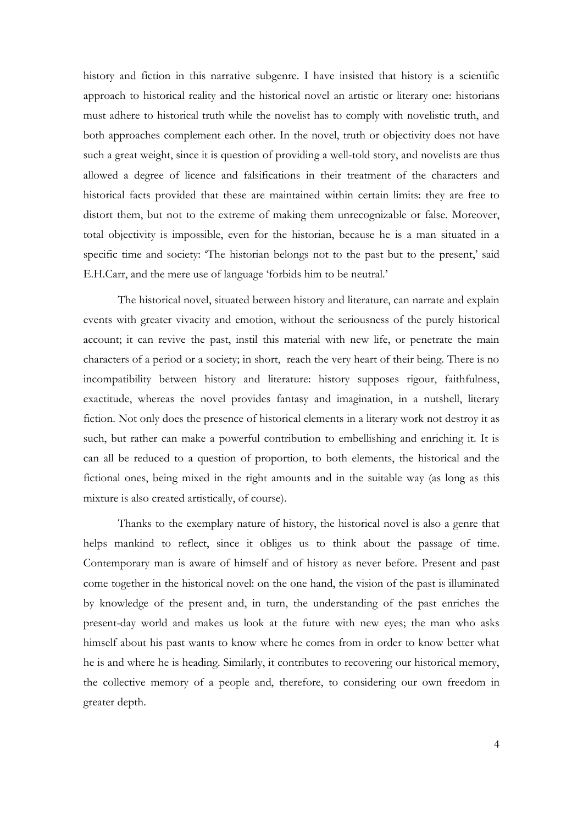history and fiction in this narrative subgenre. I have insisted that history is a scientific approach to historical reality and the historical novel an artistic or literary one: historians must adhere to historical truth while the novelist has to comply with novelistic truth, and both approaches complement each other. In the novel, truth or objectivity does not have such a great weight, since it is question of providing a well-told story, and novelists are thus allowed a degree of licence and falsifications in their treatment of the characters and historical facts provided that these are maintained within certain limits: they are free to distort them, but not to the extreme of making them unrecognizable or false. Moreover, total objectivity is impossible, even for the historian, because he is a man situated in a specific time and society: 'The historian belongs not to the past but to the present,' said E.H.Carr, and the mere use of language 'forbids him to be neutral.'

The historical novel, situated between history and literature, can narrate and explain events with greater vivacity and emotion, without the seriousness of the purely historical account; it can revive the past, instil this material with new life, or penetrate the main characters of a period or a society; in short, reach the very heart of their being. There is no incompatibility between history and literature: history supposes rigour, faithfulness, exactitude, whereas the novel provides fantasy and imagination, in a nutshell, literary fiction. Not only does the presence of historical elements in a literary work not destroy it as such, but rather can make a powerful contribution to embellishing and enriching it. It is can all be reduced to a question of proportion, to both elements, the historical and the fictional ones, being mixed in the right amounts and in the suitable way (as long as this mixture is also created artistically, of course).

Thanks to the exemplary nature of history, the historical novel is also a genre that helps mankind to reflect, since it obliges us to think about the passage of time. Contemporary man is aware of himself and of history as never before. Present and past come together in the historical novel: on the one hand, the vision of the past is illuminated by knowledge of the present and, in turn, the understanding of the past enriches the present-day world and makes us look at the future with new eyes; the man who asks himself about his past wants to know where he comes from in order to know better what he is and where he is heading. Similarly, it contributes to recovering our historical memory, the collective memory of a people and, therefore, to considering our own freedom in greater depth.